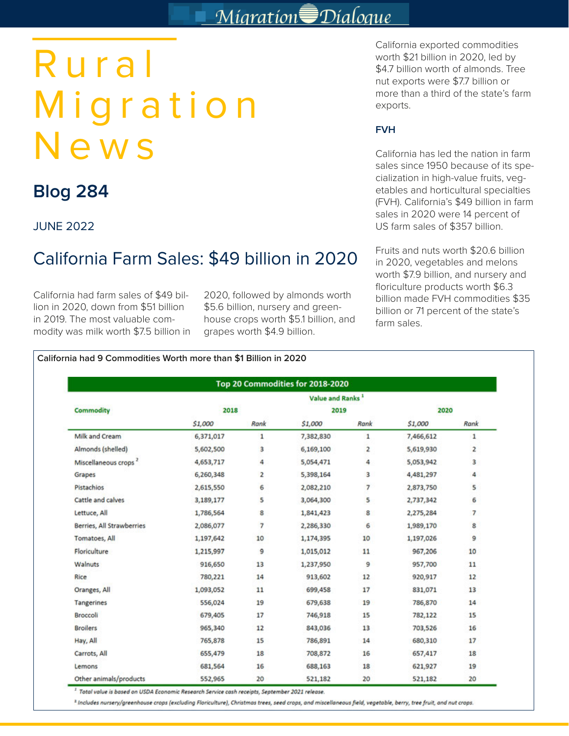# Migration Dialogue

# Rural Migration News

# **Blog 284**

JUNE 2022

# California Farm Sales: \$49 billion in 2020

California had farm sales of \$49 billion in 2020, down from \$51 billion in 2019. The most valuable commodity was milk worth \$7.5 billion in 2020, followed by almonds worth \$5.6 billion, nursery and greenhouse crops worth \$5.1 billion, and grapes worth \$4.9 billion.

California exported commodities worth \$21 billion in 2020, led by \$4.7 billion worth of almonds. Tree nut exports were \$7.7 billion or more than a third of the state's farm exports.

## **FVH**

California has led the nation in farm sales since 1950 because of its specialization in high-value fruits, vegetables and horticultural specialties (FVH). California's \$49 billion in farm sales in 2020 were 14 percent of US farm sales of \$357 billion.

Fruits and nuts worth \$20.6 billion in 2020, vegetables and melons worth \$7.9 billion, and nursery and floriculture products worth \$6.3 billion made FVH commodities \$35 billion or 71 percent of the state's farm sales.

|                                  | Value and Ranks <sup>1</sup> |                |           |                         |           |                |  |  |  |  |
|----------------------------------|------------------------------|----------------|-----------|-------------------------|-----------|----------------|--|--|--|--|
| <b>Commodity</b>                 | 2018                         |                | 2019      |                         | 2020      |                |  |  |  |  |
|                                  | \$1,000                      | Rank           | \$1,000   | Rank                    | \$1,000   | Rank           |  |  |  |  |
| Milk and Cream                   | 6,371,017                    | $\mathbf{1}$   | 7,382,830 | $\mathbf{1}$            | 7,466,612 | $\mathbf{1}$   |  |  |  |  |
| Almonds (shelled)                | 5,602,500                    | 3              | 6,169,100 | $\overline{\mathbf{2}}$ | 5,619,930 | $\overline{2}$ |  |  |  |  |
| Miscellaneous crops <sup>2</sup> | 4,653,717                    | 4              | 5,054,471 | 4                       | 5,053,942 | 3              |  |  |  |  |
| Grapes                           | 6,260,348                    | 2              | 5,398,164 | 3                       | 4,481,297 | 4              |  |  |  |  |
| Pistachios                       | 2,615,550                    | 6              | 2,082,210 | $\overline{7}$          | 2,873,750 | 5              |  |  |  |  |
| Cattle and calves                | 3,189,177                    | 5              | 3,064,300 | 5                       | 2,737,342 | 6              |  |  |  |  |
| Lettuce, All                     | 1,786,564                    | 8              | 1,841,423 | 8                       | 2,275,284 | $\overline{7}$ |  |  |  |  |
| <b>Berries, All Strawberries</b> | 2,086,077                    | $\overline{7}$ | 2,286,330 | 6                       | 1,989,170 | 8              |  |  |  |  |
| Tomatoes, All                    | 1,197,642                    | 10             | 1,174,395 | 10                      | 1,197,026 | 9              |  |  |  |  |
| Floriculture                     | 1,215,997                    | 9              | 1,015,012 | 11                      | 967,206   | 10             |  |  |  |  |
| Walnuts                          | 916,650                      | 13             | 1,237,950 | 9                       | 957,700   | 11             |  |  |  |  |
| Rice                             | 780,221                      | 14             | 913,602   | 12                      | 920,917   | 12             |  |  |  |  |
| Oranges, All                     | 1,093,052                    | 11             | 699,458   | 17                      | 831,071   | 13             |  |  |  |  |
| Tangerines                       | 556,024                      | 19             | 679,638   | 19                      | 786,870   | 14             |  |  |  |  |
| <b>Broccoli</b>                  | 679,405                      | 17             | 746,918   | 15                      | 782,122   | 15             |  |  |  |  |
| <b>Broilers</b>                  | 965,340                      | 12             | 843,036   | 13                      | 703,526   | 16             |  |  |  |  |
| Hay, All                         | 765,878                      | 15             | 786,891   | 14                      | 680,310   | 17             |  |  |  |  |
| Carrots, All                     | 655,479                      | 18             | 708,872   | 16                      | 657,417   | 18             |  |  |  |  |
| Lemons                           | 681,564                      | 16             | 688,163   | 18                      | 621,927   | 19             |  |  |  |  |
| Other animals/products           | 552,965                      | 20             | 521,182   | 20                      | 521,182   | 20             |  |  |  |  |

Total value is based on USDA Economic Research Service cash receipts, September 2021 release. "

<sup>2</sup> Includes nursery/greenhouse crops (excluding Floriculture), Christmas trees, seed crops, and miscellaneous field, vegetable, berry, tree fruit, and nut crops.

#### **California had 9 Commodities Worth more than \$1 Billion in 2020**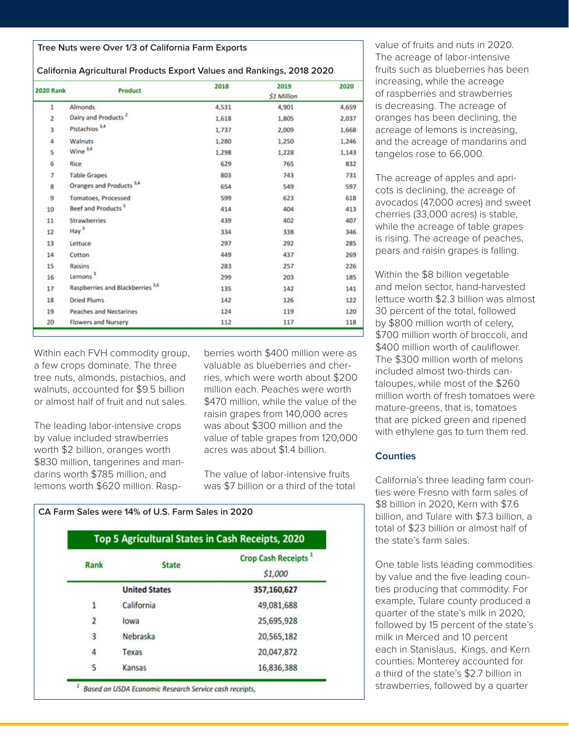#### **Tree Nuts were Over 1/3 of California Farm Exports**

#### **California Agricultural Products Export Values and Rankings, 2018 2020**

| <b>2020 Rank</b> | <b>Product</b>                      | 2018  | 2019              | 2020  |
|------------------|-------------------------------------|-------|-------------------|-------|
|                  |                                     |       | <b>S1 Million</b> |       |
| 1                | Almonds                             | 4,531 | 4,901             | 4,659 |
| $\overline{2}$   | Dairy and Products <sup>2</sup>     | 1,618 | 1,805             | 2,037 |
| 3                | Pistachios <sup>3,4</sup>           | 1,737 | 2,009             | 1,668 |
| 4                | Walnuts                             | 1,280 | 1,250             | 1,246 |
| 5                | Wine <sup>3,4</sup>                 | 1,298 | 1,228             | 1,143 |
| 6                | Rice                                | 629   | 765               | 832   |
| 7                | <b>Table Grapes</b>                 | 803   | 743               | 731   |
| 8                | Oranges and Products <sup>3,4</sup> | 654   | 549               | 597   |
| 9                | Tomatoes, Processed                 | 599   | 623               | 618   |
| 10               | Beef and Products <sup>5</sup>      | 414   | 404               | 413   |
| 11               | <b>Strawberries</b>                 | 439   | 402               | 407   |
| 12               | Hay <sup>3</sup>                    | 334   | 338               | 346   |
| 13               | Lettuce                             | 297   | 292               | 285   |
| 14               | Cotton                              | 449   | 437               | 269   |
| 15               | Raisins                             | 283   | 257               | 226   |
| 16               | Lemons <sup>3</sup>                 | 299   | 203               | 185   |
| 17               | Raspberries and Blackberries 3,6    | 135   | 142               | 141   |
| 18               | <b>Dried Plums</b>                  | 142   | 126               | 122   |
| 19               | <b>Peaches and Nectarines</b>       | 124   | 119               | 120   |
| 20               | <b>Flowers and Nursery</b>          | 112   | 117               | 118   |

Within each FVH commodity group, a few crops dominate. The three tree nuts, almonds, pistachios, and walnuts, accounted for \$9.5 billion or almost half of fruit and nut sales.

The leading labor-intensive crops by value included strawberries worth \$2 billion, oranges worth \$830 million, tangerines and mandarins worth \$785 million, and lemons worth \$620 million. Raspberries worth \$400 million were as valuable as blueberries and cherries, which were worth about \$200 million each. Peaches were worth \$470 million, while the value of the raisin grapes from 140,000 acres was about \$300 million and the value of table grapes from 120,000 acres was about \$1.4 billion.

The value of labor-intensive fruits was \$7 billion or a third of the total

|                     | Top 5 Agricultural States in Cash Receipts, 2020 |                                 |
|---------------------|--------------------------------------------------|---------------------------------|
|                     | <b>State</b>                                     | Crop Cash Receipts <sup>1</sup> |
|                     |                                                  | \$1,000                         |
|                     | <b>United States</b>                             | 357,160,627                     |
| 1                   | California                                       | 49,081,688                      |
| $\overline{2}$      | lowa                                             | 25,695,928                      |
| Rank<br>3<br>4<br>5 | Nebraska                                         | 20,565,182                      |
|                     | Texas                                            | 20,047,872                      |
|                     | Kansas                                           | 16,836,388                      |

value of fruits and nuts in 2020. The acreage of labor-intensive fruits such as blueberries has been increasing, while the acreage of raspberries and strawberries is decreasing. The acreage of oranges has been declining, the acreage of lemons is increasing, and the acreage of mandarins and tangelos rose to 66,000.

The acreage of apples and apricots is declining, the acreage of avocados (47,000 acres) and sweet cherries (33,000 acres) is stable, while the acreage of table grapes is rising. The acreage of peaches, pears and raisin grapes is falling.

Within the \$8 billion vegetable and melon sector, hand-harvested lettuce worth \$2.3 billion was almost 30 percent of the total, followed by \$800 million worth of celery, \$700 million worth of broccoli, and \$400 million worth of cauliflower. The \$300 million worth of melons included almost two-thirds cantaloupes, while most of the \$260 million worth of fresh tomatoes were mature-greens, that is, tomatoes that are picked green and ripened with ethylene gas to turn them red.

#### **Counties**

California's three leading farm counties were Fresno with farm sales of \$8 billion in 2020, Kern with \$7.6 billion, and Tulare with \$7.3 billion, a total of \$23 billion or almost half of the state's farm sales.

One table lists leading commodities by value and the five leading counties producing that commodity. For example, Tulare county produced a quarter of the state's milk in 2020, followed by 15 percent of the state's milk in Merced and 10 percent each in Stanislaus, Kings, and Kern counties. Monterey accounted for a third of the state's \$2.7 billion in strawberries, followed by a quarter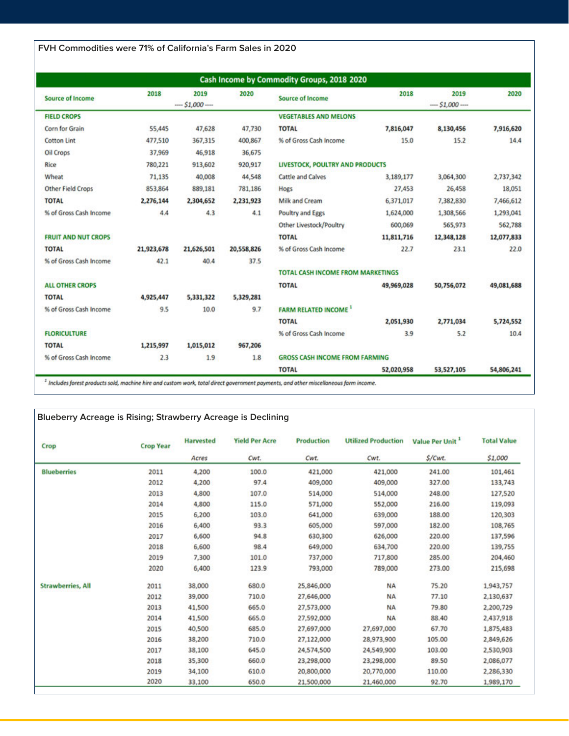**FVH Commodities were 71% of California's Farm Sales in 2020**

|                            |            |                    |            | Cash Income by Commodity Groups, 2018 2020 |            |                    |            |
|----------------------------|------------|--------------------|------------|--------------------------------------------|------------|--------------------|------------|
| <b>Source of Income</b>    | 2018       | 2019<br>$-.51,000$ | 2020       | <b>Source of Income</b>                    | 2018       | 2019<br>$-51,000-$ | 2020       |
| <b>FIELD CROPS</b>         |            |                    |            | <b>VEGETABLES AND MELONS</b>               |            |                    |            |
| Corn for Grain             | 55,445     | 47,628             | 47,730     | <b>TOTAL</b>                               | 7,816,047  | 8,130,456          | 7,916,620  |
| <b>Cotton Lint</b>         | 477,510    | 367,315            | 400,867    | % of Gross Cash Income                     | 15.0       | 15.2               | 14.4       |
| Oil Crops                  | 37,969     | 46,918             | 36,675     |                                            |            |                    |            |
| Rice                       | 780,221    | 913,602            | 920,917    | LIVESTOCK, POULTRY AND PRODUCTS            |            |                    |            |
| Wheat                      | 71,135     | 40,008             | 44,548     | <b>Cattle and Calves</b>                   | 3,189,177  | 3,064,300          | 2,737,342  |
| <b>Other Field Crops</b>   | 853,864    | 889,181            | 781,186    | Hogs                                       | 27,453     | 26,458             | 18,051     |
| <b>TOTAL</b>               | 2,276,144  | 2,304,652          | 2,231,923  | Milk and Cream                             | 6,371,017  | 7,382,830          | 7,466,612  |
| % of Gross Cash Income     | 4.4        | 4.3                | 4.1        | <b>Poultry and Eggs</b>                    | 1,624,000  | 1,308,566          | 1,293,041  |
|                            |            |                    |            | Other Livestock/Poultry                    | 600,069    | 565,973            | 562,788    |
| <b>FRUIT AND NUT CROPS</b> |            |                    |            | <b>TOTAL</b>                               | 11,811,716 | 12,348,128         | 12,077,833 |
| <b>TOTAL</b>               | 21,923,678 | 21,626,501         | 20,558,826 | % of Gross Cash Income                     | 22.7       | 23.1               | 22.0       |
| % of Gross Cash Income     | 42.1       | 40.4               | 37.5       |                                            |            |                    |            |
|                            |            |                    |            | <b>TOTAL CASH INCOME FROM MARKETINGS</b>   |            |                    |            |
| <b>ALL OTHER CROPS</b>     |            |                    |            | <b>TOTAL</b>                               | 49,969,028 | 50,756,072         | 49,081,688 |
| <b>TOTAL</b>               | 4,925,447  | 5,331,322          | 5,329,281  |                                            |            |                    |            |
| % of Gross Cash Income     | 9.5        | 10.0               | 9.7        | <b>FARM RELATED INCOME</b>                 |            |                    |            |
|                            |            |                    |            | <b>TOTAL</b>                               | 2,051,930  | 2,771,034          | 5,724,552  |
| <b>FLORICULTURE</b>        |            |                    |            | % of Gross Cash Income                     | 3.9        | 5.2                | 10.4       |
| <b>TOTAL</b>               | 1,215,997  | 1,015,012          | 967,206    |                                            |            |                    |            |
| % of Gross Cash Income     | 2.3        | 1.9                | 1.8        | <b>GROSS CASH INCOME FROM FARMING</b>      |            |                    |            |
|                            |            |                    |            | <b>TOTAL</b>                               | 52,020,958 | 53,527,105         | 54,806,241 |

 $1$  Includes forest products sold, machine hire and custom work, total direct government payments, and other miscellaneous farm income.

### **Blueberry Acreage is Rising; Strawberry Acreage is Declining**

| Crop                     | <b>Crop Year</b> | <b>Harvested</b> | <b>Yield Per Acre</b> | Production | <b>Utilized Production</b> | Value Per Unit <sup>1</sup> | <b>Total Value</b> |
|--------------------------|------------------|------------------|-----------------------|------------|----------------------------|-----------------------------|--------------------|
|                          |                  | Acres            | Cwt.                  | Cwt.       | Cwt.                       | S/Cwt.                      | \$1,000            |
| <b>Blueberries</b>       | 2011             | 4,200            | 100.0                 | 421,000    | 421,000                    | 241.00                      | 101,461            |
|                          | 2012             | 4,200            | 97.4                  | 409,000    | 409,000                    | 327.00                      | 133,743            |
|                          | 2013             | 4,800            | 107.0                 | 514,000    | 514,000                    | 248.00                      | 127,520            |
|                          | 2014             | 4,800            | 115.0                 | 571,000    | 552,000                    | 216.00                      | 119,093            |
|                          | 2015             | 6,200            | 103.0                 | 641,000    | 639,000                    | 188.00                      | 120,303            |
|                          | 2016             | 6,400            | 93.3                  | 605,000    | 597,000                    | 182.00                      | 108,765            |
|                          | 2017             | 6,600            | 94.8                  | 630,300    | 626,000                    | 220.00                      | 137,596            |
|                          | 2018             | 6,600            | 98.4                  | 649,000    | 634,700                    | 220.00                      | 139,755            |
|                          | 2019             | 7,300            | 101.0                 | 737,000    | 717,800                    | 285.00                      | 204,460            |
|                          | 2020             | 6,400            | 123.9                 | 793,000    | 789,000                    | 273.00                      | 215,698            |
| <b>Strawberries, All</b> | 2011             | 38,000           | 680.0                 | 25,846,000 | <b>NA</b>                  | 75.20                       | 1,943,757          |
|                          | 2012             | 39,000           | 710.0                 | 27,646,000 | <b>NA</b>                  | 77.10                       | 2,130,637          |
|                          | 2013             | 41,500           | 665.0                 | 27,573,000 | <b>NA</b>                  | 79.80                       | 2,200,729          |
|                          | 2014             | 41,500           | 665.0                 | 27,592,000 | <b>NA</b>                  | 88.40                       | 2,437,918          |
|                          | 2015             | 40,500           | 685.0                 | 27,697,000 | 27,697,000                 | 67.70                       | 1,875,483          |
|                          | 2016             | 38,200           | 710.0                 | 27,122,000 | 28,973,900                 | 105.00                      | 2,849,626          |
|                          | 2017             | 38,100           | 645.0                 | 24,574,500 | 24,549,900                 | 103.00                      | 2,530,903          |
|                          | 2018             | 35,300           | 660.0                 | 23,298,000 | 23,298,000                 | 89.50                       | 2,086,077          |
|                          | 2019             | 34,100           | 610.0                 | 20,800,000 | 20,770,000                 | 110.00                      | 2,286,330          |
|                          | 2020             | 33,100           | 650.0                 | 21,500,000 | 21,460,000                 | 92.70                       | 1,989,170          |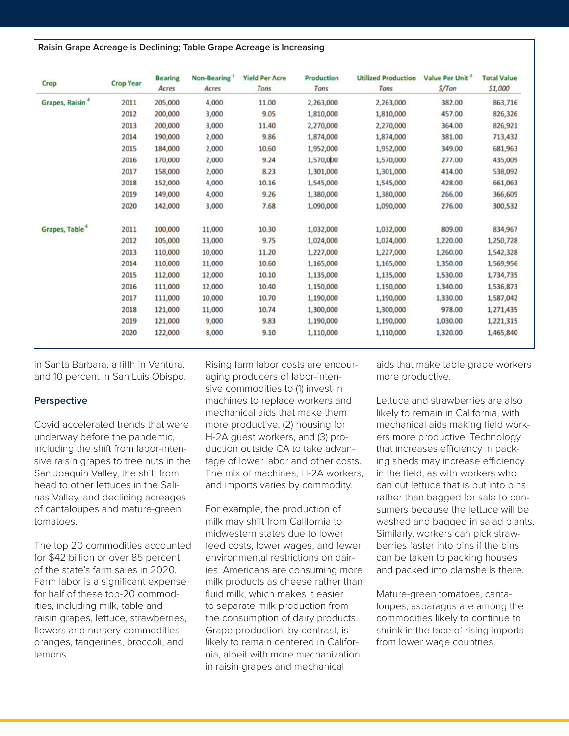| Crop                        | <b>Crop Year</b> | <b>Bearing</b><br>Acres | Non-Bearing<br>Acres | <b>Yield Per Acre</b><br>Tons | <b>Production</b><br>Tons | <b>Utilized Production</b><br>Tons | Value Per Unit <sup>2</sup><br>$S/T$ on |
|-----------------------------|------------------|-------------------------|----------------------|-------------------------------|---------------------------|------------------------------------|-----------------------------------------|
| Grapes, Raisin <sup>4</sup> | 2011             | 205,000                 | 4,000                | 11.00                         | 2,263,000                 | 2,263,000                          | 382.00                                  |
|                             | 2012             | 200,000                 | 3,000                | 9.05                          | 1,810,000                 | 1,810,000                          | 457.00                                  |
|                             | 2013             | 200,000                 | 3,000                | 11.40                         | 2,270,000                 | 2,270,000                          | 364.00                                  |
|                             | 2014             | 190,000                 | 2,000                | 9.86                          | 1,874,000                 | 1,874,000                          | 381.00                                  |
|                             | 2015             | 184,000                 | 2,000                | 10.60                         | 1,952,000                 | 1,952,000                          | 349.00                                  |
|                             | 2016             | 170,000                 | 2,000                | 9.24                          | 1,570,000                 | 1,570,000                          | 277.00                                  |
|                             | 2017             | 158,000                 | 2,000                | 8.23                          | 1,301,000                 | 1,301,000                          | 414.00                                  |

10.16

9.26

7.68

10.30

9.75

11.20

10.60

10.10

10.40

10.70

10.74

9.83

9.10

1,545,000

1,380,000

1,090,000

1,032,000

1,024,000

1,227,000

1,165,000

1,135,000

1,150,000

1,190,000

1.300.000

1,190,000

1,110,000

1,545,000

1,380,000

1,090,000

1,032,000

1,024,000

1,227,000

1,165,000

1,135,000

1,150,000

1,190,000

1,300,000

1,190,000

1,110,000

4,000

4,000

3,000

11,000

13,000

10,000

11,000

12,000

12,000

10,000

11,000

9,000

8,000

in Santa Barbara, a fifth in Ventura, and 10 percent in San Luis Obispo.

2018

2019

2020

2011

2012

2013

2014

2015

2016

2017

2018

2019

2020

152,000

149,000

142,000

100,000

105,000

110,000

110,000

112,000

111,000

111,000

121,000

121,000

122,000

#### **Perspective**

Grapes, Table<sup>4</sup>

Covid accelerated trends that were underway before the pandemic, including the shift from labor-intensive raisin grapes to tree nuts in the San Joaquin Valley, the shift from head to other lettuces in the Salinas Valley, and declining acreages of cantaloupes and mature-green tomatoes.

The top 20 commodities accounted for \$42 billion or over 85 percent of the state's farm sales in 2020. Farm labor is a significant expense for half of these top-20 commodities, including milk, table and raisin grapes, lettuce, strawberries, flowers and nursery commodities, oranges, tangerines, broccoli, and lemons.

Rising farm labor costs are encouraging producers of labor-intensive commodities to (1) invest in machines to replace workers and mechanical aids that make them more productive, (2) housing for H-2A guest workers, and (3) production outside CA to take advantage of lower labor and other costs. The mix of machines, H-2A workers, and imports varies by commodity.

For example, the production of milk may shift from California to midwestern states due to lower feed costs, lower wages, and fewer environmental restrictions on dairies. Americans are consuming more milk products as cheese rather than fluid milk, which makes it easier to separate milk production from the consumption of dairy products. Grape production, by contrast, is likely to remain centered in California, albeit with more mechanization in raisin grapes and mechanical

aids that make table grape workers more productive.

428.00

266.00

276.00

809.00

1,220.00

1,260.00

1,350.00

1,530.00

1,340.00

1,330.00

1,030.00

1,320.00

978.00

**Total Value** \$1,000

863,716

826,326

826,921

713,432

681,963

435,009

538,092

661,063

366,609

300,532

834,967

1,250,728

1,542,328

1,569,956

1,734,735

1,536,873

1,587,042

1,271,435

1,221,315

1,465,840

Lettuce and strawberries are also likely to remain in California, with mechanical aids making field workers more productive. Technology that increases efficiency in packing sheds may increase efficiency in the field, as with workers who can cut lettuce that is but into bins rather than bagged for sale to consumers because the lettuce will be washed and bagged in salad plants. Similarly, workers can pick strawberries faster into bins if the bins can be taken to packing houses and packed into clamshells there.

Mature-green tomatoes, cantaloupes, asparagus are among the commodities likely to continue to shrink in the face of rising imports from lower wage countries.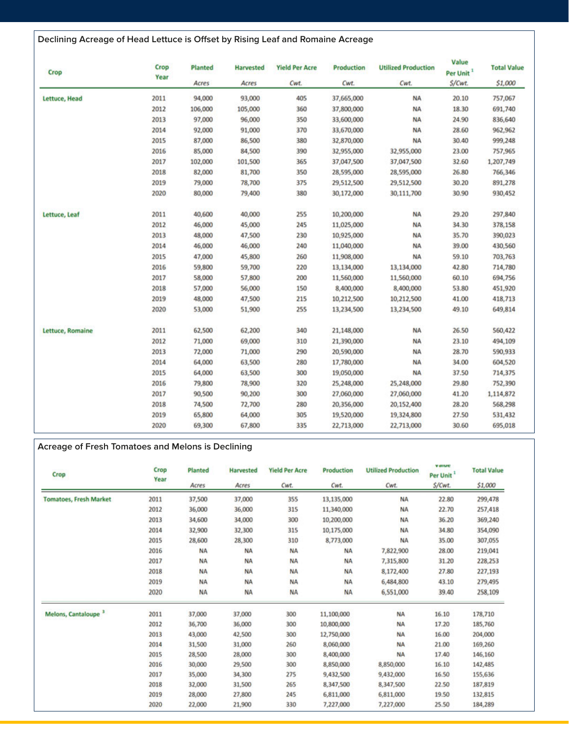## **Declining Acreage of Head Lettuce is Offset by Rising Leaf and Romaine Acreage**

| Crop             | Crop | Planted<br><b>Harvested</b><br><b>Yield Per Acre</b><br>Year |         | <b>Production</b> | <b>Utilized Production</b> | Value<br>Per Unit <sup>1</sup> | <b>Total Value</b> |           |
|------------------|------|--------------------------------------------------------------|---------|-------------------|----------------------------|--------------------------------|--------------------|-----------|
|                  |      | Acres                                                        | Acres   | Cwt.              | Cwt.                       | Cwt.                           | S/Cwt.             | \$1,000   |
| Lettuce, Head    | 2011 | 94,000                                                       | 93,000  | 405               | 37,665,000                 | <b>NA</b>                      | 20.10              | 757,067   |
|                  | 2012 | 106,000                                                      | 105,000 | 360               | 37,800,000                 | <b>NA</b>                      | 18.30              | 691,740   |
|                  | 2013 | 97,000                                                       | 96,000  | 350               | 33,600,000                 | <b>NA</b>                      | 24.90              | 836,640   |
|                  | 2014 | 92,000                                                       | 91,000  | 370               | 33,670,000                 | <b>NA</b>                      | 28.60              | 962,962   |
|                  | 2015 | 87,000                                                       | 86,500  | 380               | 32,870,000                 | <b>NA</b>                      | 30,40              | 999,248   |
|                  | 2016 | 85,000                                                       | 84,500  | 390               | 32,955,000                 | 32,955,000                     | 23.00              | 757,965   |
|                  | 2017 | 102,000                                                      | 101,500 | 365               | 37,047,500                 | 37,047,500                     | 32.60              | 1,207,749 |
|                  | 2018 | 82,000                                                       | 81,700  | 350               | 28,595,000                 | 28,595,000                     | 26.80              | 766,346   |
|                  | 2019 | 79,000                                                       | 78,700  | 375               | 29,512,500                 | 29,512,500                     | 30.20              | 891,278   |
|                  | 2020 | 80,000                                                       | 79,400  | 380               | 30,172,000                 | 30,111,700                     | 30.90              | 930,452   |
| Lettuce, Leaf    | 2011 | 40,600                                                       | 40,000  | 255               | 10,200,000                 | <b>NA</b>                      | 29.20              | 297,840   |
|                  | 2012 | 46,000                                                       | 45,000  | 245               | 11,025,000                 | <b>NA</b>                      | 34.30              | 378,158   |
|                  | 2013 | 48,000                                                       | 47,500  | 230               | 10,925,000                 | <b>NA</b>                      | 35.70              | 390,023   |
|                  | 2014 | 46,000                                                       | 46,000  | 240               | 11,040,000                 | <b>NA</b>                      | 39.00              | 430,560   |
|                  | 2015 | 47,000                                                       | 45,800  | 260               | 11,908,000                 | <b>NA</b>                      | 59.10              | 703,763   |
|                  | 2016 | 59,800                                                       | 59,700  | 220               | 13,134,000                 | 13,134,000                     | 42.80              | 714,780   |
|                  | 2017 | 58,000                                                       | 57,800  | 200               | 11,560,000                 | 11,560,000                     | 60.10              | 694,756   |
|                  | 2018 | 57,000                                                       | 56,000  | 150               | 8,400,000                  | 8,400,000                      | 53.80              | 451,920   |
|                  | 2019 | 48,000                                                       | 47,500  | 215               | 10,212,500                 | 10,212,500                     | 41.00              | 418,713   |
|                  | 2020 | 53,000                                                       | 51,900  | 255               | 13,234,500                 | 13,234,500                     | 49.10              | 649,814   |
| Lettuce, Romaine | 2011 | 62,500                                                       | 62,200  | 340               | 21,148,000                 | <b>NA</b>                      | 26.50              | 560,422   |
|                  | 2012 | 71,000                                                       | 69,000  | 310               | 21,390,000                 | <b>NA</b>                      | 23.10              | 494,109   |
|                  | 2013 | 72,000                                                       | 71,000  | 290               | 20,590,000                 | <b>NA</b>                      | 28.70              | 590,933   |
|                  | 2014 | 64,000                                                       | 63,500  | 280               | 17,780,000                 | <b>NA</b>                      | 34.00              | 604,520   |
|                  | 2015 | 64,000                                                       | 63,500  | 300               | 19,050,000                 | <b>NA</b>                      | 37.50              | 714,375   |
|                  | 2016 | 79,800                                                       | 78,900  | 320               | 25,248,000                 | 25,248,000                     | 29.80              | 752,390   |
|                  | 2017 | 90,500                                                       | 90,200  | 300               | 27,060,000                 | 27,060,000                     | 41.20              | 1,114,872 |
|                  | 2018 | 74,500                                                       | 72,700  | 280               | 20,356,000                 | 20,152,400                     | 28.20              | 568,298   |
|                  | 2019 | 65,800                                                       | 64,000  | 305               | 19,520,000                 | 19,324,800                     | 27.50              | 531,432   |
|                  | 2020 | 69,300                                                       | 67,800  | 335               | 22,713,000                 | 22,713,000                     | 30.60              | 695,018   |

## **Acreage of Fresh Tomatoes and Melons is Declining**

| Crop                            | Crop<br>Year | Planted   | <b>Harvested</b> | <b>Yield Per Acre</b> | <b>Production</b> | <b>Utilized Production</b> | <b>V</b> drug<br>Per Unit <sup>1</sup> | <b>Total Value</b> |
|---------------------------------|--------------|-----------|------------------|-----------------------|-------------------|----------------------------|----------------------------------------|--------------------|
|                                 |              | Acres     | Acres            | Cwt.                  | Cwt.              | Cwt.                       | S/Cwt.                                 | \$1,000            |
| <b>Tomatoes, Fresh Market</b>   | 2011         | 37,500    | 37,000           | 355                   | 13,135,000        | <b>NA</b>                  | 22.80                                  | 299,478            |
|                                 | 2012         | 36,000    | 36,000           | 315                   | 11,340,000        | <b>NA</b>                  | 22.70                                  | 257,418            |
|                                 | 2013         | 34,600    | 34,000           | 300                   | 10,200,000        | <b>NA</b>                  | 36.20                                  | 369,240            |
|                                 | 2014         | 32,900    | 32,300           | 315                   | 10,175,000        | <b>NA</b>                  | 34.80                                  | 354,090            |
|                                 | 2015         | 28,600    | 28,300           | 310                   | 8,773,000         | <b>NA</b>                  | 35.00                                  | 307,055            |
|                                 | 2016         | <b>NA</b> | <b>NA</b>        | <b>NA</b>             | <b>NA</b>         | 7,822,900                  | 28.00                                  | 219,041            |
|                                 | 2017         | <b>NA</b> | <b>NA</b>        | <b>NA</b>             | <b>NA</b>         | 7,315,800                  | 31.20                                  | 228,253            |
|                                 | 2018         | <b>NA</b> | <b>NA</b>        | <b>NA</b>             | <b>NA</b>         | 8,172,400                  | 27.80                                  | 227,193            |
|                                 | 2019         | <b>NA</b> | <b>NA</b>        | <b>NA</b>             | <b>NA</b>         | 6,484,800                  | 43.10                                  | 279,495            |
|                                 | 2020         | <b>NA</b> | <b>NA</b>        | <b>NA</b>             | <b>NA</b>         | 6,551,000                  | 39.40                                  | 258,109            |
| Melons, Cantaloupe <sup>3</sup> | 2011         | 37,000    | 37,000           | 300                   | 11,100,000        | <b>NA</b>                  | 16.10                                  | 178,710            |
|                                 | 2012         | 36,700    | 36,000           | 300                   | 10,800,000        | <b>NA</b>                  | 17.20                                  | 185,760            |
|                                 | 2013         | 43,000    | 42,500           | 300                   | 12,750,000        | <b>NA</b>                  | 16.00                                  | 204,000            |
|                                 | 2014         | 31,500    | 31,000           | 260                   | 8,060,000         | <b>NA</b>                  | 21.00                                  | 169,260            |
|                                 | 2015         | 28,500    | 28,000           | 300                   | 8,400,000         | <b>NA</b>                  | 17.40                                  | 146,160            |
|                                 | 2016         | 30,000    | 29,500           | 300                   | 8,850,000         | 8,850,000                  | 16.10                                  | 142,485            |
|                                 | 2017         | 35,000    | 34,300           | 275                   | 9,432,500         | 9,432,000                  | 16.50                                  | 155,636            |
|                                 | 2018         | 32,000    | 31,500           | 265                   | 8,347,500         | 8,347,500                  | 22.50                                  | 187,819            |
|                                 | 2019         | 28,000    | 27,800           | 245                   | 6,811,000         | 6,811,000                  | 19.50                                  | 132,815            |
|                                 | 2020         | 22,000    | 21,900           | 330                   | 7,227,000         | 7,227,000                  | 25.50                                  | 184,289            |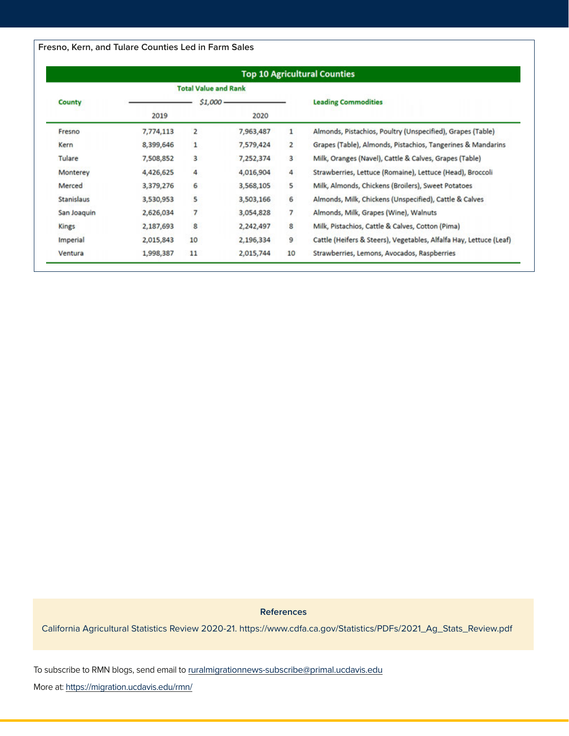**Fresno, Kern, and Tulare Counties Led in Farm Sales**

|             |           | <b>Top 10 Agricultural Counties</b> |           |                |                                                                    |  |  |  |  |  |
|-------------|-----------|-------------------------------------|-----------|----------------|--------------------------------------------------------------------|--|--|--|--|--|
|             |           | <b>Total Value and Rank</b>         |           |                |                                                                    |  |  |  |  |  |
| County      |           | $51,000 -$                          |           |                | <b>Leading Commodities</b>                                         |  |  |  |  |  |
|             | 2019      |                                     | 2020      |                |                                                                    |  |  |  |  |  |
| Fresno      | 7,774,113 | 2                                   | 7,963,487 | 1              | Almonds, Pistachios, Poultry (Unspecified), Grapes (Table)         |  |  |  |  |  |
| Kern        | 8,399,646 | 1                                   | 7,579,424 | $\overline{2}$ | Grapes (Table), Almonds, Pistachios, Tangerines & Mandarins        |  |  |  |  |  |
| Tulare      | 7,508,852 | 3                                   | 7,252,374 | 3              | Milk, Oranges (Navel), Cattle & Calves, Grapes (Table)             |  |  |  |  |  |
| Monterey    | 4,426,625 | 4                                   | 4,016,904 | 4              | Strawberries, Lettuce (Romaine), Lettuce (Head), Broccoli          |  |  |  |  |  |
| Merced      | 3,379,276 | 6                                   | 3,568,105 | 5              | Milk, Almonds, Chickens (Broilers), Sweet Potatoes                 |  |  |  |  |  |
| Stanislaus  | 3,530,953 | 5                                   | 3,503,166 | 6              | Almonds, Milk, Chickens (Unspecified), Cattle & Calves             |  |  |  |  |  |
| San Joaquin | 2,626,034 | 7                                   | 3,054,828 | 7              | Almonds, Milk, Grapes (Wine), Walnuts                              |  |  |  |  |  |
| Kings       | 2,187,693 | 8                                   | 2,242,497 | 8              | Milk, Pistachios, Cattle & Calves, Cotton (Pima)                   |  |  |  |  |  |
| Imperial    | 2,015,843 | 10                                  | 2,196,334 | 9              | Cattle (Heifers & Steers), Vegetables, Alfalfa Hay, Lettuce (Leaf) |  |  |  |  |  |
| Ventura     | 1,998,387 | 11                                  | 2,015,744 | 10             | Strawberries, Lemons, Avocados, Raspberries                        |  |  |  |  |  |

**References**

California Agricultural Statistics Review 2020-21. https://www.cdfa.ca.gov/Statistics/PDFs/2021\_Ag\_Stats\_Review.pdf

To subscribe to RMN blogs, send email to ruralmigrationnews-subscribe@primal.ucdavis.edu

More at: https://migration.ucdavis.edu/rmn/